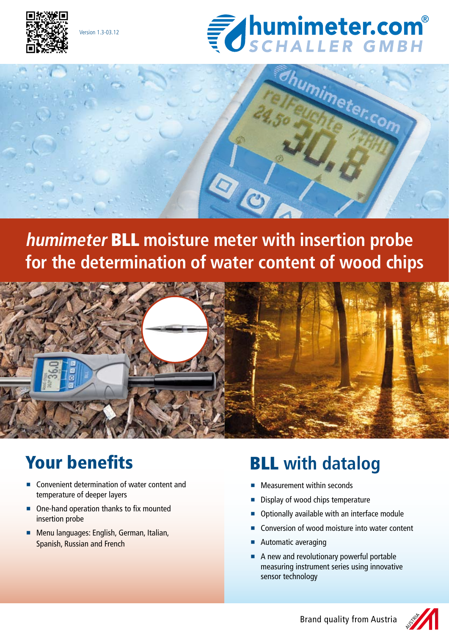

Version 1.3-03.12





# **humimeter** BLL **moisture meter with insertion probe for the determination of water content of wood chips**



## Your benefits

- $\blacksquare$  Convenient determination of water content and temperature of deeper layers
- $\blacksquare$  One-hand operation thanks to fix mounted insertion probe
- **P** Menu languages: English, German, Italian, Spanish, Russian and French

# BLL **with datalog**

- $\blacksquare$  Measurement within seconds
- Display of wood chips temperature
- $\blacksquare$  Optionally available with an interface module
- $\blacksquare$  Conversion of wood moisture into water content
- $\blacksquare$  Automatic averaging
- $\blacksquare$  A new and revolutionary powerful portable measuring instrument series using innovative sensor technology